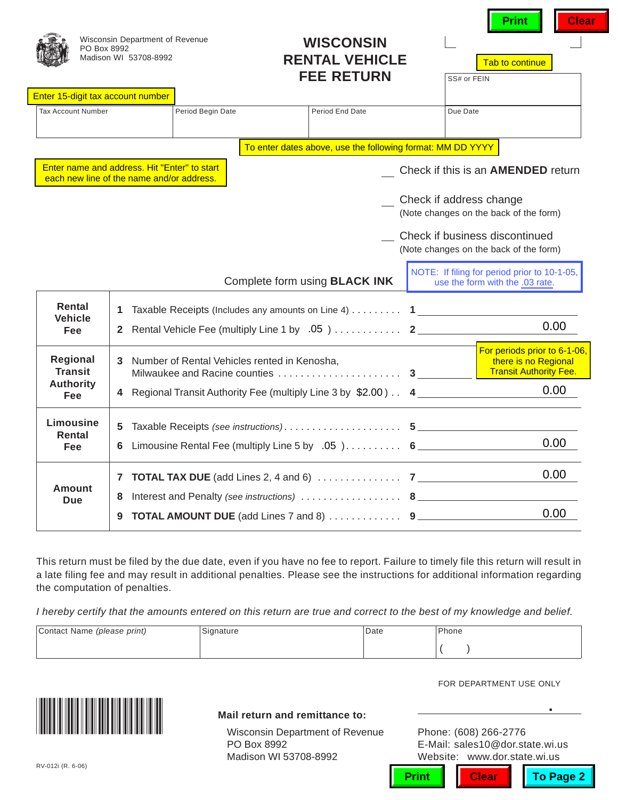| PO Box 8992                                                    | Wisconsin Department of Revenue<br>Madison WI 53708-8992                                  |                                              | <b>WISCONSIN</b><br><b>RENTAL VEHICLE</b><br><b>FEE RETURN</b>                                                                                                                                                                                                                                                                                                                                 | SS# or FEIN             | <b>Clear</b><br>Print<br>Tab to continue                                                                            |
|----------------------------------------------------------------|-------------------------------------------------------------------------------------------|----------------------------------------------|------------------------------------------------------------------------------------------------------------------------------------------------------------------------------------------------------------------------------------------------------------------------------------------------------------------------------------------------------------------------------------------------|-------------------------|---------------------------------------------------------------------------------------------------------------------|
| Enter 15-digit tax account number<br><b>Tax Account Number</b> |                                                                                           | Period Begin Date                            | Period End Date                                                                                                                                                                                                                                                                                                                                                                                | Due Date                |                                                                                                                     |
|                                                                |                                                                                           |                                              |                                                                                                                                                                                                                                                                                                                                                                                                |                         |                                                                                                                     |
|                                                                |                                                                                           |                                              | To enter dates above, use the following format: MM DD YYYY                                                                                                                                                                                                                                                                                                                                     |                         |                                                                                                                     |
|                                                                | Enter name and address. Hit "Enter" to start<br>each new line of the name and/or address. |                                              |                                                                                                                                                                                                                                                                                                                                                                                                |                         | Check if this is an <b>AMENDED</b> return                                                                           |
|                                                                |                                                                                           |                                              |                                                                                                                                                                                                                                                                                                                                                                                                | Check if address change | (Note changes on the back of the form)                                                                              |
|                                                                |                                                                                           |                                              |                                                                                                                                                                                                                                                                                                                                                                                                |                         | Check if business discontinued<br>(Note changes on the back of the form)                                            |
|                                                                |                                                                                           |                                              | Complete form using <b>BLACK INK</b>                                                                                                                                                                                                                                                                                                                                                           |                         | NOTE: If filing for period prior to 10-1-05,<br>use the form with the .03 rate.                                     |
| Rental                                                         | 1.                                                                                        |                                              | Taxable Receipts (Includes any amounts on Line 4) $\dots \dots$ 1                                                                                                                                                                                                                                                                                                                              |                         |                                                                                                                     |
| <b>Vehicle</b><br>Fee                                          |                                                                                           |                                              |                                                                                                                                                                                                                                                                                                                                                                                                |                         | 0.00                                                                                                                |
| Regional<br><b>Transit</b>                                     | 3.                                                                                        | Number of Rental Vehicles rented in Kenosha, |                                                                                                                                                                                                                                                                                                                                                                                                |                         | For periods prior to 6-1-06,<br>there is no Regional<br><b>Transit Authority Fee.</b>                               |
| <b>Authority</b><br><b>Fee</b>                                 | 4                                                                                         |                                              | Regional Transit Authority Fee (multiply Line 3 by \$2.00) 4                                                                                                                                                                                                                                                                                                                                   |                         | 0.00                                                                                                                |
| Limousine                                                      |                                                                                           |                                              |                                                                                                                                                                                                                                                                                                                                                                                                |                         |                                                                                                                     |
| <b>Rental</b><br>Fee                                           | 5<br>6                                                                                    |                                              | Limousine Rental Fee (multiply Line 5 by .05) 6                                                                                                                                                                                                                                                                                                                                                |                         | 0.00                                                                                                                |
|                                                                |                                                                                           |                                              |                                                                                                                                                                                                                                                                                                                                                                                                |                         |                                                                                                                     |
| Amount                                                         |                                                                                           |                                              |                                                                                                                                                                                                                                                                                                                                                                                                |                         | 0.00                                                                                                                |
| <b>Due</b>                                                     | 8                                                                                         |                                              |                                                                                                                                                                                                                                                                                                                                                                                                |                         | 0.00                                                                                                                |
|                                                                | 9                                                                                         |                                              |                                                                                                                                                                                                                                                                                                                                                                                                |                         |                                                                                                                     |
| the computation of penalties.<br>Contact Name (please print)   |                                                                                           | Signature                                    | This return must be filed by the due date, even if you have no fee to report. Failure to timely file this return will result in<br>a late filing fee and may result in additional penalties. Please see the instructions for additional information regarding<br>I hereby certify that the amounts entered on this return are true and correct to the best of my knowledge and belief.<br>Date | Phone                   |                                                                                                                     |
| RV-012i (R. 6-06)                                              |                                                                                           | PO Box 8992                                  | Mail return and remittance to:<br><b>Wisconsin Department of Revenue</b><br>Madison WI 53708-8992                                                                                                                                                                                                                                                                                              |                         | FOR DEPARTMENT USE ONLY<br>Phone: (608) 266-2776<br>E-Mail: sales10@dor.state.wi.us<br>Website: www.dor.state.wi.us |

| Contact Name (please print) | Signature | Date | 'Phone |
|-----------------------------|-----------|------|--------|
|                             |           |      |        |